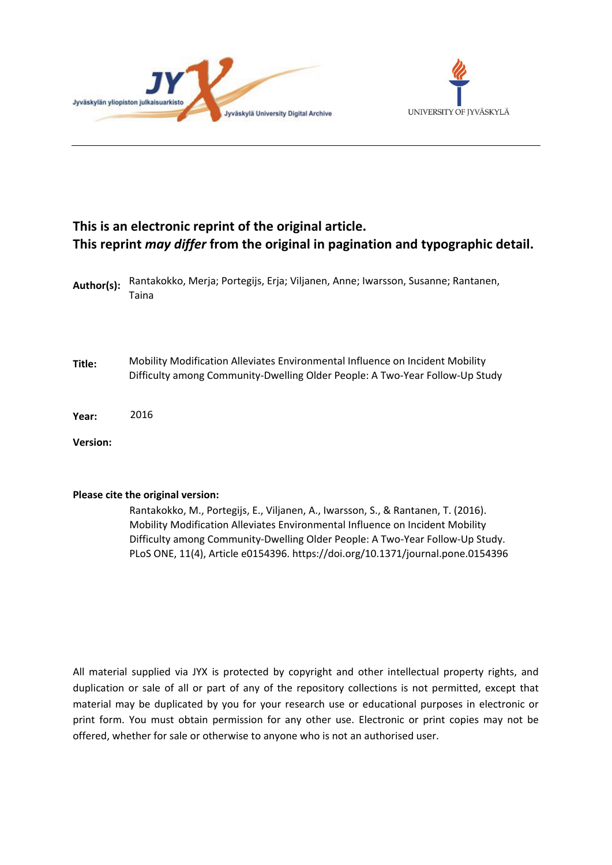



# **This is an electronic reprint of the original article. This reprint** *may differ* **from the original in pagination and typographic detail.**

| Author(s):               | Rantakokko, Merja; Portegijs, Erja; Viljanen, Anne; Iwarsson, Susanne; Rantanen,<br>Taina                                                                     |
|--------------------------|---------------------------------------------------------------------------------------------------------------------------------------------------------------|
| Title:                   | Mobility Modification Alleviates Environmental Influence on Incident Mobility<br>Difficulty among Community-Dwelling Older People: A Two-Year Follow-Up Study |
| Year:<br><b>Version:</b> | 2016                                                                                                                                                          |
|                          |                                                                                                                                                               |

#### **Please cite the original version:**

Rantakokko, M., Portegijs, E., Viljanen, A., Iwarsson, S., & Rantanen, T. (2016). Mobility Modification Alleviates Environmental Influence on Incident Mobility Difficulty among Community-Dwelling Older People: A Two-Year Follow-Up Study. PLoS ONE, 11(4), Article e0154396. https://doi.org/10.1371/journal.pone.0154396

All material supplied via JYX is protected by copyright and other intellectual property rights, and duplication or sale of all or part of any of the repository collections is not permitted, except that material may be duplicated by you for your research use or educational purposes in electronic or print form. You must obtain permission for any other use. Electronic or print copies may not be offered, whether for sale or otherwise to anyone who is not an authorised user.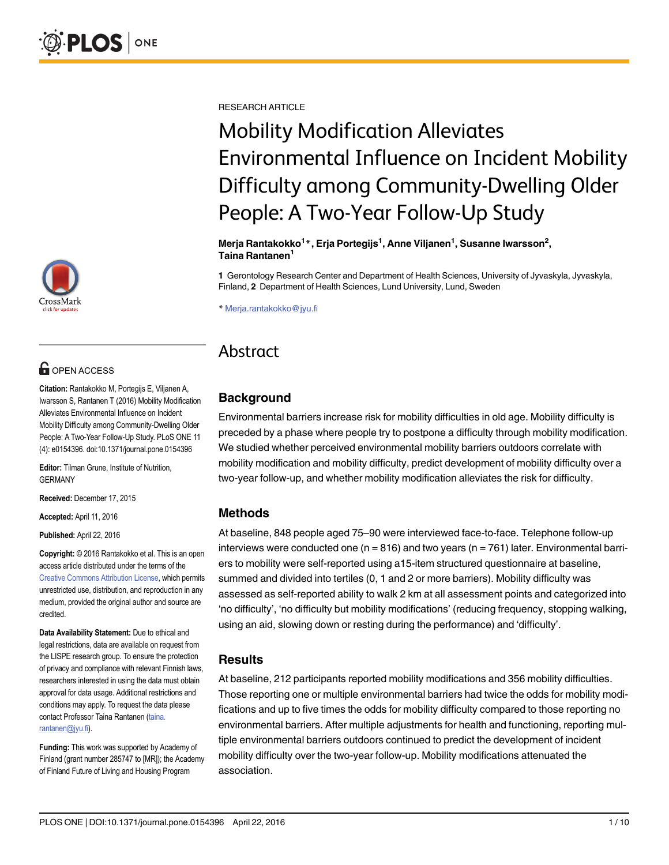

# **G** OPEN ACCESS

Citation: Rantakokko M, Portegijs E, Viljanen A, Iwarsson S, Rantanen T (2016) Mobility Modification Alleviates Environmental Influence on Incident Mobility Difficulty among Community-Dwelling Older People: A Two-Year Follow-Up Study. PLoS ONE 11 (4): e0154396. doi:10.1371/journal.pone.0154396

Editor: Tilman Grune, Institute of Nutrition, GERMANY

Received: December 17, 2015

Accepted: April 11, 2016

Published: April 22, 2016

Copyright: © 2016 Rantakokko et al. This is an open access article distributed under the terms of the [Creative Commons Attribution License,](http://creativecommons.org/licenses/by/4.0/) which permits unrestricted use, distribution, and reproduction in any medium, provided the original author and source are credited.

Data Availability Statement: Due to ethical and legal restrictions, data are available on request from the LISPE research group. To ensure the protection of privacy and compliance with relevant Finnish laws, researchers interested in using the data must obtain approval for data usage. Additional restrictions and conditions may apply. To request the data please contact Professor Taina Rantanen (taina. rantanen@jyu.fi).

Funding: This work was supported by Academy of Finland (grant number 285747 to [MR]); the Academy of Finland Future of Living and Housing Program

RESEARCH ARTICLE

# Mobility Modification Alleviates Environmental Influence on Incident Mobility Difficulty among Community-Dwelling Older People: A Two-Year Follow-Up Study

Merja Rantakokko<sup>1</sup>\*, Erja Portegijs<sup>1</sup>, Anne Viljanen<sup>1</sup>, Susanne Iwarsson<sup>2</sup>, Taina Rantanen<sup>1</sup>

1 Gerontology Research Center and Department of Health Sciences, University of Jyvaskyla, Jyvaskyla, Finland, 2 Department of Health Sciences, Lund University, Lund, Sweden

\* Merja.rantakokko@jyu.fi

# Abstract

## **Background**

Environmental barriers increase risk for mobility difficulties in old age. Mobility difficulty is preceded by a phase where people try to postpone a difficulty through mobility modification. We studied whether perceived environmental mobility barriers outdoors correlate with mobility modification and mobility difficulty, predict development of mobility difficulty over a two-year follow-up, and whether mobility modification alleviates the risk for difficulty.

## Methods

At baseline, 848 people aged 75–90 were interviewed face-to-face. Telephone follow-up interviews were conducted one ( $n = 816$ ) and two years ( $n = 761$ ) later. Environmental barriers to mobility were self-reported using a15-item structured questionnaire at baseline, summed and divided into tertiles (0, 1 and 2 or more barriers). Mobility difficulty was assessed as self-reported ability to walk 2 km at all assessment points and categorized into 'no difficulty', 'no difficulty but mobility modifications' (reducing frequency, stopping walking, using an aid, slowing down or resting during the performance) and 'difficulty'.

### Results

At baseline, 212 participants reported mobility modifications and 356 mobility difficulties. Those reporting one or multiple environmental barriers had twice the odds for mobility modifications and up to five times the odds for mobility difficulty compared to those reporting no environmental barriers. After multiple adjustments for health and functioning, reporting multiple environmental barriers outdoors continued to predict the development of incident mobility difficulty over the two-year follow-up. Mobility modifications attenuated the association.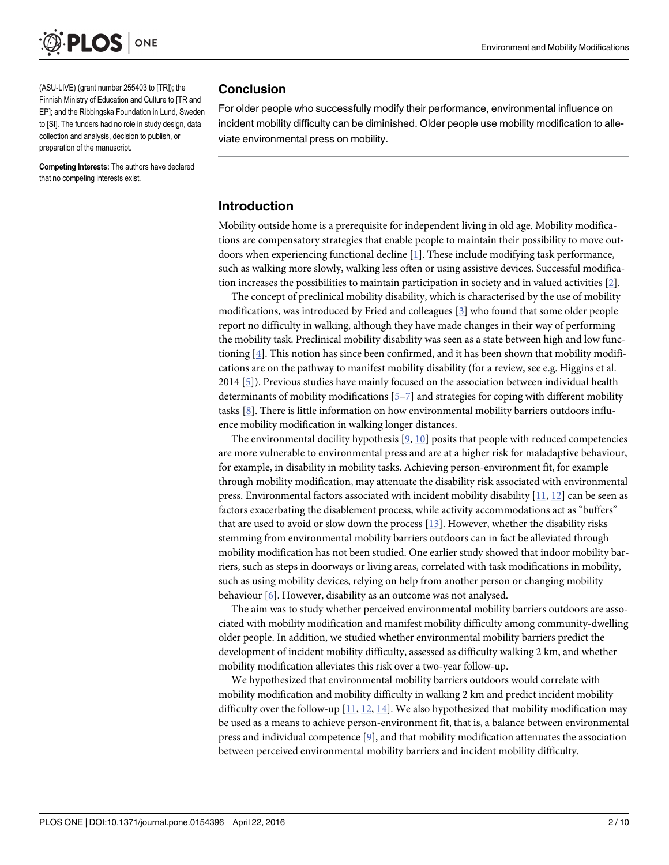<span id="page-2-0"></span>

(ASU-LIVE) (grant number 255403 to [TR]); the Finnish Ministry of Education and Culture to [TR and EP]; and the Ribbingska Foundation in Lund, Sweden to [SI]. The funders had no role in study design, data collection and analysis, decision to publish, or preparation of the manuscript.

Competing Interests: The authors have declared that no competing interests exist.

#### Conclusion

For older people who successfully modify their performance, environmental influence on incident mobility difficulty can be diminished. Older people use mobility modification to alleviate environmental press on mobility.

#### Introduction

Mobility outside home is a prerequisite for independent living in old age. Mobility modifications are compensatory strategies that enable people to maintain their possibility to move outdoors when experiencing functional decline [\[1](#page-8-0)]. These include modifying task performance, such as walking more slowly, walking less often or using assistive devices. Successful modification increases the possibilities to maintain participation in society and in valued activities [\[2](#page-8-0)].

The concept of preclinical mobility disability, which is characterised by the use of mobility modifications, was introduced by Fried and colleagues [\[3\]](#page-8-0) who found that some older people report no difficulty in walking, although they have made changes in their way of performing the mobility task. Preclinical mobility disability was seen as a state between high and low functioning [\[4](#page-8-0)]. This notion has since been confirmed, and it has been shown that mobility modifications are on the pathway to manifest mobility disability (for a review, see e.g. Higgins et al. 2014 [[5\]](#page-8-0)). Previous studies have mainly focused on the association between individual health determinants of mobility modifications  $[5-7]$  $[5-7]$  $[5-7]$  and strategies for coping with different mobility tasks [\[8](#page-9-0)]. There is little information on how environmental mobility barriers outdoors influence mobility modification in walking longer distances.

The environmental docility hypothesis  $[9, 10]$  $[9, 10]$  $[9, 10]$  $[9, 10]$  $[9, 10]$  posits that people with reduced competencies are more vulnerable to environmental press and are at a higher risk for maladaptive behaviour, for example, in disability in mobility tasks. Achieving person-environment fit, for example through mobility modification, may attenuate the disability risk associated with environmental press. Environmental factors associated with incident mobility disability [[11](#page-9-0), [12](#page-9-0)] can be seen as factors exacerbating the disablement process, while activity accommodations act as "buffers" that are used to avoid or slow down the process [\[13](#page-9-0)]. However, whether the disability risks stemming from environmental mobility barriers outdoors can in fact be alleviated through mobility modification has not been studied. One earlier study showed that indoor mobility barriers, such as steps in doorways or living areas, correlated with task modifications in mobility, such as using mobility devices, relying on help from another person or changing mobility behaviour [[6](#page-8-0)]. However, disability as an outcome was not analysed.

The aim was to study whether perceived environmental mobility barriers outdoors are associated with mobility modification and manifest mobility difficulty among community-dwelling older people. In addition, we studied whether environmental mobility barriers predict the development of incident mobility difficulty, assessed as difficulty walking 2 km, and whether mobility modification alleviates this risk over a two-year follow-up.

We hypothesized that environmental mobility barriers outdoors would correlate with mobility modification and mobility difficulty in walking 2 km and predict incident mobility difficulty over the follow-up  $[11, 12, 14]$  $[11, 12, 14]$  $[11, 12, 14]$  $[11, 12, 14]$  $[11, 12, 14]$  $[11, 12, 14]$  $[11, 12, 14]$ . We also hypothesized that mobility modification may be used as a means to achieve person-environment fit, that is, a balance between environmental press and individual competence [[9](#page-9-0)], and that mobility modification attenuates the association between perceived environmental mobility barriers and incident mobility difficulty.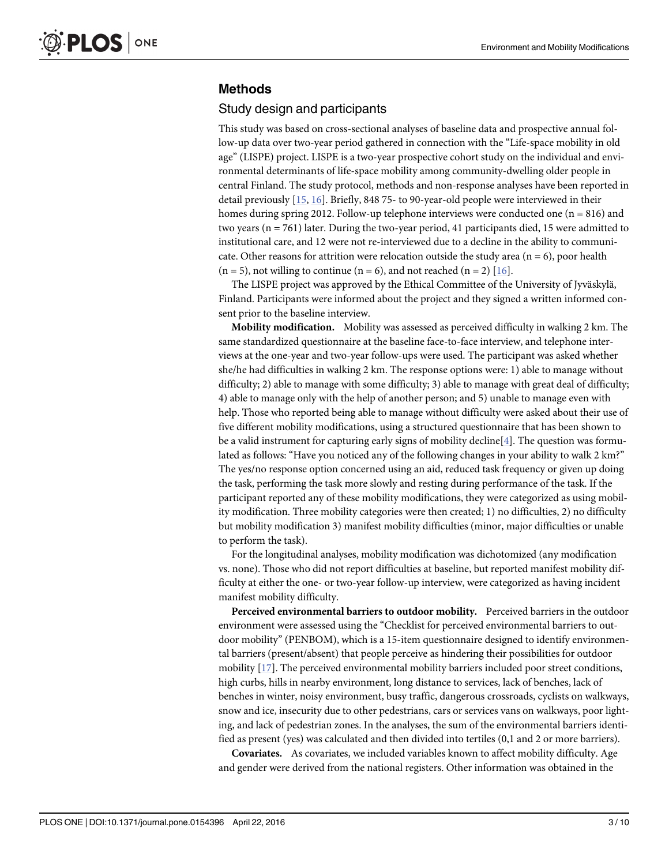### <span id="page-3-0"></span>Methods

#### Study design and participants

This study was based on cross-sectional analyses of baseline data and prospective annual follow-up data over two-year period gathered in connection with the "Life-space mobility in old age" (LISPE) project. LISPE is a two-year prospective cohort study on the individual and environmental determinants of life-space mobility among community-dwelling older people in central Finland. The study protocol, methods and non-response analyses have been reported in detail previously [[15,](#page-9-0) [16\]](#page-9-0). Briefly, 848 75- to 90-year-old people were interviewed in their homes during spring 2012. Follow-up telephone interviews were conducted one  $(n = 816)$  and two years (n = 761) later. During the two-year period, 41 participants died, 15 were admitted to institutional care, and 12 were not re-interviewed due to a decline in the ability to communicate. Other reasons for attrition were relocation outside the study area  $(n = 6)$ , poor health  $(n = 5)$ , not willing to continue  $(n = 6)$ , and not reached  $(n = 2)$  [[16](#page-9-0)].

The LISPE project was approved by the Ethical Committee of the University of Jyväskylä, Finland. Participants were informed about the project and they signed a written informed consent prior to the baseline interview.

Mobility modification. Mobility was assessed as perceived difficulty in walking 2 km. The same standardized questionnaire at the baseline face-to-face interview, and telephone interviews at the one-year and two-year follow-ups were used. The participant was asked whether she/he had difficulties in walking 2 km. The response options were: 1) able to manage without difficulty; 2) able to manage with some difficulty; 3) able to manage with great deal of difficulty; 4) able to manage only with the help of another person; and 5) unable to manage even with help. Those who reported being able to manage without difficulty were asked about their use of five different mobility modifications, using a structured questionnaire that has been shown to be a valid instrument for capturing early signs of mobility decline  $[4]$  $[4]$ . The question was formulated as follows: "Have you noticed any of the following changes in your ability to walk 2 km?" The yes/no response option concerned using an aid, reduced task frequency or given up doing the task, performing the task more slowly and resting during performance of the task. If the participant reported any of these mobility modifications, they were categorized as using mobility modification. Three mobility categories were then created; 1) no difficulties, 2) no difficulty but mobility modification 3) manifest mobility difficulties (minor, major difficulties or unable to perform the task).

For the longitudinal analyses, mobility modification was dichotomized (any modification vs. none). Those who did not report difficulties at baseline, but reported manifest mobility difficulty at either the one- or two-year follow-up interview, were categorized as having incident manifest mobility difficulty.

Perceived environmental barriers to outdoor mobility. Perceived barriers in the outdoor environment were assessed using the "Checklist for perceived environmental barriers to outdoor mobility" (PENBOM), which is a 15-item questionnaire designed to identify environmental barriers (present/absent) that people perceive as hindering their possibilities for outdoor mobility [\[17\]](#page-9-0). The perceived environmental mobility barriers included poor street conditions, high curbs, hills in nearby environment, long distance to services, lack of benches, lack of benches in winter, noisy environment, busy traffic, dangerous crossroads, cyclists on walkways, snow and ice, insecurity due to other pedestrians, cars or services vans on walkways, poor lighting, and lack of pedestrian zones. In the analyses, the sum of the environmental barriers identified as present (yes) was calculated and then divided into tertiles (0,1 and 2 or more barriers).

Covariates. As covariates, we included variables known to affect mobility difficulty. Age and gender were derived from the national registers. Other information was obtained in the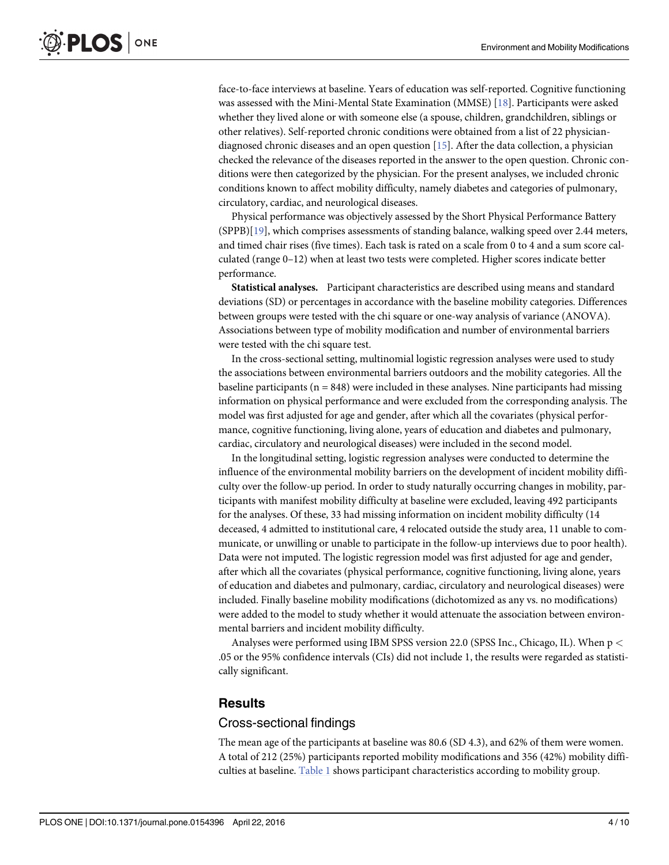<span id="page-4-0"></span>face-to-face interviews at baseline. Years of education was self-reported. Cognitive functioning was assessed with the Mini-Mental State Examination (MMSE) [[18](#page-9-0)]. Participants were asked whether they lived alone or with someone else (a spouse, children, grandchildren, siblings or other relatives). Self-reported chronic conditions were obtained from a list of 22 physiciandiagnosed chronic diseases and an open question [[15](#page-9-0)]. After the data collection, a physician checked the relevance of the diseases reported in the answer to the open question. Chronic conditions were then categorized by the physician. For the present analyses, we included chronic conditions known to affect mobility difficulty, namely diabetes and categories of pulmonary, circulatory, cardiac, and neurological diseases.

Physical performance was objectively assessed by the Short Physical Performance Battery (SPPB)[\[19\]](#page-9-0), which comprises assessments of standing balance, walking speed over 2.44 meters, and timed chair rises (five times). Each task is rated on a scale from 0 to 4 and a sum score calculated (range 0–12) when at least two tests were completed. Higher scores indicate better performance.

Statistical analyses. Participant characteristics are described using means and standard deviations (SD) or percentages in accordance with the baseline mobility categories. Differences between groups were tested with the chi square or one-way analysis of variance (ANOVA). Associations between type of mobility modification and number of environmental barriers were tested with the chi square test.

In the cross-sectional setting, multinomial logistic regression analyses were used to study the associations between environmental barriers outdoors and the mobility categories. All the baseline participants ( $n = 848$ ) were included in these analyses. Nine participants had missing information on physical performance and were excluded from the corresponding analysis. The model was first adjusted for age and gender, after which all the covariates (physical performance, cognitive functioning, living alone, years of education and diabetes and pulmonary, cardiac, circulatory and neurological diseases) were included in the second model.

In the longitudinal setting, logistic regression analyses were conducted to determine the influence of the environmental mobility barriers on the development of incident mobility difficulty over the follow-up period. In order to study naturally occurring changes in mobility, participants with manifest mobility difficulty at baseline were excluded, leaving 492 participants for the analyses. Of these, 33 had missing information on incident mobility difficulty (14 deceased, 4 admitted to institutional care, 4 relocated outside the study area, 11 unable to communicate, or unwilling or unable to participate in the follow-up interviews due to poor health). Data were not imputed. The logistic regression model was first adjusted for age and gender, after which all the covariates (physical performance, cognitive functioning, living alone, years of education and diabetes and pulmonary, cardiac, circulatory and neurological diseases) were included. Finally baseline mobility modifications (dichotomized as any vs. no modifications) were added to the model to study whether it would attenuate the association between environmental barriers and incident mobility difficulty.

Analyses were performed using IBM SPSS version 22.0 (SPSS Inc., Chicago, IL). When p < .05 or the 95% confidence intervals (CIs) did not include 1, the results were regarded as statistically significant.

#### **Results**

#### Cross-sectional findings

The mean age of the participants at baseline was 80.6 (SD 4.3), and 62% of them were women. A total of 212 (25%) participants reported mobility modifications and 356 (42%) mobility difficulties at baseline. [Table 1](#page-5-0) shows participant characteristics according to mobility group.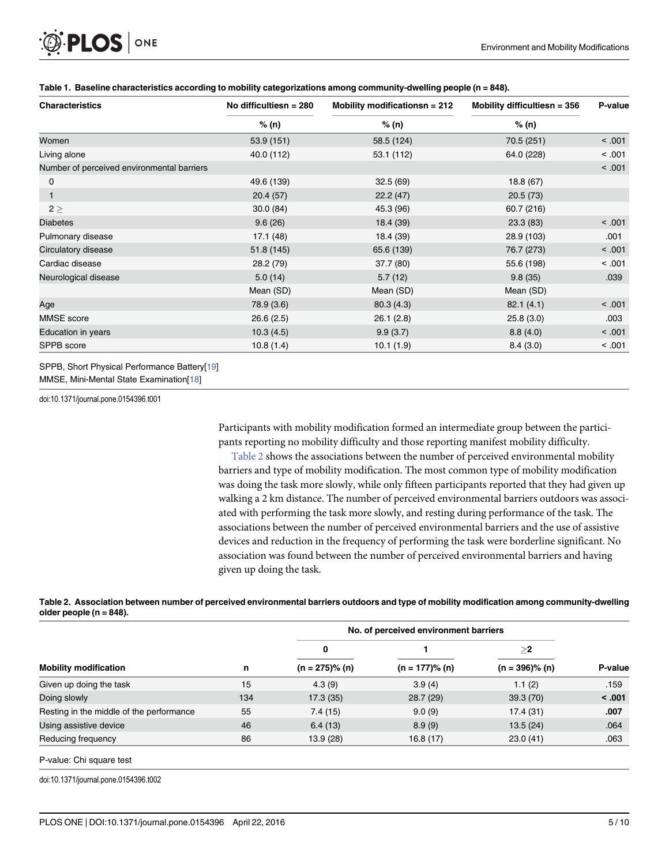<span id="page-5-0"></span>

| O PLOS ONE |  |
|------------|--|
|------------|--|

| <b>Characteristics</b>                     | No difficultiesn = $280$ | <b>Mobility modificationsn = 212</b> | Mobility difficultiesn = $356$ | P-value |  |
|--------------------------------------------|--------------------------|--------------------------------------|--------------------------------|---------|--|
|                                            | % (n)                    | % (n)                                | % (n)                          |         |  |
| Women                                      | 53.9(151)                | 58.5 (124)                           | 70.5 (251)                     | < .001  |  |
| Living alone                               | 40.0 (112)               | 53.1 (112)                           | 64.0 (228)                     | < 0.01  |  |
| Number of perceived environmental barriers |                          |                                      |                                | < .001  |  |
| 0                                          | 49.6 (139)               | 32.5(69)                             | 18.8 (67)                      |         |  |
|                                            | 20.4(57)                 | 22.2(47)                             | 20.5(73)                       |         |  |
| $2 \geq$                                   | 30.0(84)                 | 45.3 (96)                            | 60.7 (216)                     |         |  |
| <b>Diabetes</b>                            | 9.6(26)                  | 18.4 (39)                            | 23.3(83)                       | < .001  |  |
| Pulmonary disease                          | 17.1(48)                 | 18.4 (39)                            | 28.9 (103)                     | .001    |  |
| Circulatory disease                        | 51.8 (145)               | 65.6 (139)                           | 76.7 (273)                     | < .001  |  |
| Cardiac disease                            | 28.2 (79)                | 37.7 (80)                            | 55.6 (198)                     | < .001  |  |
| Neurological disease                       | 5.0(14)                  | 5.7(12)                              | 9.8(35)                        | .039    |  |
|                                            | Mean (SD)                | Mean (SD)                            | Mean (SD)                      |         |  |
| Age                                        | 78.9 (3.6)               | 80.3(4.3)                            | 82.1(4.1)                      | < .001  |  |
| MMSE score                                 | 26.6(2.5)                | 26.1(2.8)                            | 25.8(3.0)                      | .003    |  |
| <b>Education in years</b>                  | 10.3(4.5)                | 9.9(3.7)                             | 8.8(4.0)                       | < .001  |  |
| SPPB score                                 | 10.8(1.4)                | 10.1(1.9)                            | 8.4(3.0)                       | < .001  |  |

#### [Table 1.](#page-4-0) Baseline characteristics according to mobility categorizations among community-dwelling people (n = 848).

SPPB, Short Physical Performance Battery[\[19\]](#page-9-0)

MMSE, Mini-Mental State Examination[\[18](#page-9-0)]

doi:10.1371/journal.pone.0154396.t001

Participants with mobility modification formed an intermediate group between the participants reporting no mobility difficulty and those reporting manifest mobility difficulty.

Table 2 shows the associations between the number of perceived environmental mobility barriers and type of mobility modification. The most common type of mobility modification was doing the task more slowly, while only fifteen participants reported that they had given up walking a 2 km distance. The number of perceived environmental barriers outdoors was associated with performing the task more slowly, and resting during performance of the task. The associations between the number of perceived environmental barriers and the use of assistive devices and reduction in the frequency of performing the task were borderline significant. No association was found between the number of perceived environmental barriers and having given up doing the task.

Table 2. Association between number of perceived environmental barriers outdoors and type of mobility modification among community-dwelling older people ( $n = 848$ ).

|                                          |     | No. of perceived environment barriers |                   |                   |         |  |
|------------------------------------------|-----|---------------------------------------|-------------------|-------------------|---------|--|
|                                          |     | 0                                     |                   | >2                |         |  |
| <b>Mobility modification</b>             | n   | $(n = 275)\% (n)$                     | $(n = 177)$ % (n) | $(n = 396)\% (n)$ | P-value |  |
| Given up doing the task                  | 15  | 4.3(9)                                | 3.9(4)            | 1.1(2)            | .159    |  |
| Doing slowly                             | 134 | 17.3(35)                              | 28.7(29)          | 39.3(70)          | < .001  |  |
| Resting in the middle of the performance | 55  | 7.4(15)                               | 9.0(9)            | 17.4(31)          | .007    |  |
| Using assistive device                   | 46  | 6.4(13)                               | 8.9(9)            | 13.5(24)          | .064    |  |
| Reducing frequency                       | 86  | 13.9(28)                              | 16.8(17)          | 23.0(41)          | .063    |  |

P-value: Chi square test

doi:10.1371/journal.pone.0154396.t002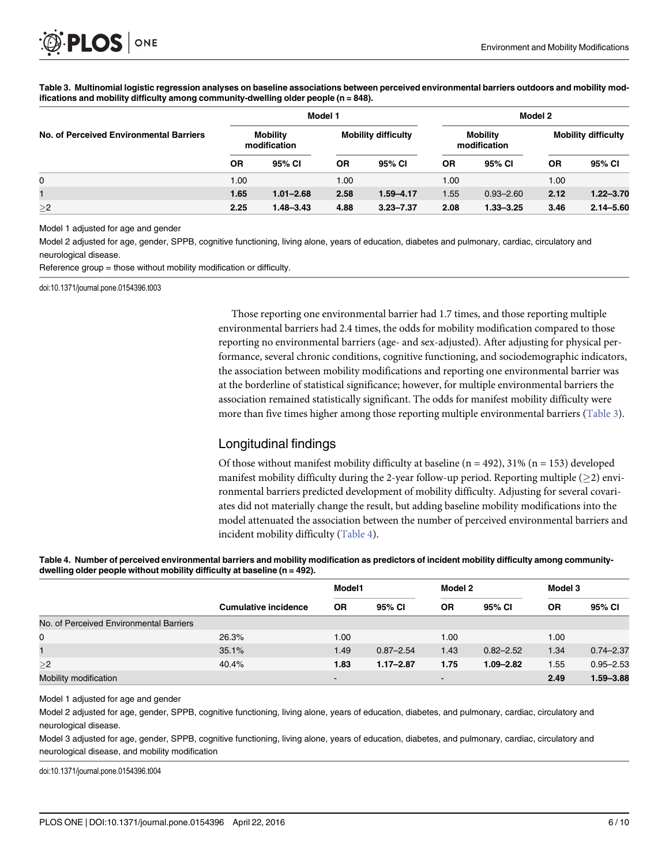Table 3. Multinomial logistic regression analyses on baseline associations between perceived environmental barriers outdoors and mobility modifications and mobility difficulty among community-dwelling older people (n = 848).

|                                         | Model 1                         |               |                            |               | Model 2                         |               |                            |               |
|-----------------------------------------|---------------------------------|---------------|----------------------------|---------------|---------------------------------|---------------|----------------------------|---------------|
| No. of Perceived Environmental Barriers | <b>Mobility</b><br>modification |               | <b>Mobility difficulty</b> |               | <b>Mobility</b><br>modification |               | <b>Mobility difficulty</b> |               |
|                                         | <b>OR</b>                       | 95% CI        | <b>OR</b>                  | 95% CI        | <b>OR</b>                       | 95% CI        | <b>OR</b>                  | 95% CI        |
| 0                                       | 1.00                            |               | 1.00                       |               | 1.00                            |               | 1.00                       |               |
|                                         | 1.65                            | $1.01 - 2.68$ | 2.58                       | 1.59-4.17     | 1.55                            | $0.93 - 2.60$ | 2.12                       | $1.22 - 3.70$ |
| $\geq$                                  | 2.25                            | $1.48 - 3.43$ | 4.88                       | $3.23 - 7.37$ | 2.08                            | $1.33 - 3.25$ | 3.46                       | $2.14 - 5.60$ |

#### Model 1 adjusted for age and gender

Model 2 adjusted for age, gender, SPPB, cognitive functioning, living alone, years of education, diabetes and pulmonary, cardiac, circulatory and neurological disease.

Reference group = those without mobility modification or difficulty.

doi:10.1371/journal.pone.0154396.t003

Those reporting one environmental barrier had 1.7 times, and those reporting multiple environmental barriers had 2.4 times, the odds for mobility modification compared to those reporting no environmental barriers (age- and sex-adjusted). After adjusting for physical performance, several chronic conditions, cognitive functioning, and sociodemographic indicators, the association between mobility modifications and reporting one environmental barrier was at the borderline of statistical significance; however, for multiple environmental barriers the association remained statistically significant. The odds for manifest mobility difficulty were more than five times higher among those reporting multiple environmental barriers (Table 3).

#### Longitudinal findings

Of those without manifest mobility difficulty at baseline ( $n = 492$ ), 31% ( $n = 153$ ) developed manifest mobility difficulty during the 2-year follow-up period. Reporting multiple  $(\geq 2)$  environmental barriers predicted development of mobility difficulty. Adjusting for several covariates did not materially change the result, but adding baseline mobility modifications into the model attenuated the association between the number of perceived environmental barriers and incident mobility difficulty (Table 4).

Table 4. Number of perceived environmental barriers and mobility modification as predictors of incident mobility difficulty among communitydwelling older people without mobility difficulty at baseline (n = 492).

|                                         | <b>Cumulative incidence</b> | Model1         |               | Model 2   |               | Model 3   |               |
|-----------------------------------------|-----------------------------|----------------|---------------|-----------|---------------|-----------|---------------|
|                                         |                             | 0R             | 95% CI        | <b>OR</b> | 95% CI        | <b>OR</b> | 95% CI        |
| No. of Perceived Environmental Barriers |                             |                |               |           |               |           |               |
| 0                                       | 26.3%                       | 1.00           |               | 1.00      |               | 1.00      |               |
|                                         | 35.1%                       | 1.49           | $0.87 - 2.54$ | 1.43      | $0.82 - 2.52$ | 1.34      | $0.74 - 2.37$ |
| $\geq$ 2                                | 40.4%                       | 1.83           | $1.17 - 2.87$ | 1.75      | $1.09 - 2.82$ | 1.55      | $0.95 - 2.53$ |
| Mobility modification                   |                             | $\blacksquare$ |               |           |               | 2.49      | $1.59 - 3.88$ |

#### Model 1 adjusted for age and gender

Model 2 adjusted for age, gender, SPPB, cognitive functioning, living alone, years of education, diabetes, and pulmonary, cardiac, circulatory and neurological disease.

Model 3 adjusted for age, gender, SPPB, cognitive functioning, living alone, years of education, diabetes, and pulmonary, cardiac, circulatory and neurological disease, and mobility modification

doi:10.1371/journal.pone.0154396.t004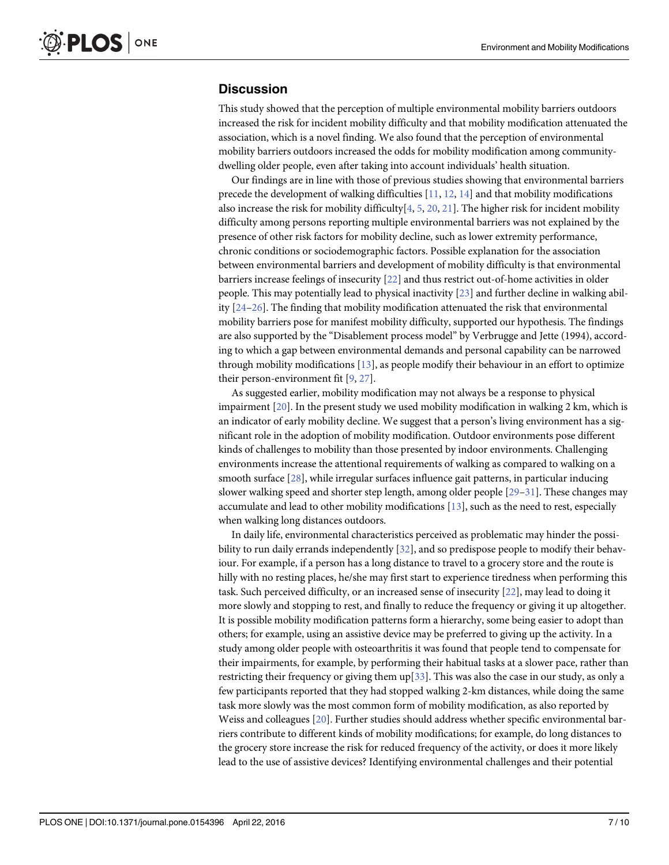## <span id="page-7-0"></span>**Discussion**

This study showed that the perception of multiple environmental mobility barriers outdoors increased the risk for incident mobility difficulty and that mobility modification attenuated the association, which is a novel finding. We also found that the perception of environmental mobility barriers outdoors increased the odds for mobility modification among communitydwelling older people, even after taking into account individuals' health situation.

Our findings are in line with those of previous studies showing that environmental barriers precede the development of walking difficulties  $[11, 12, 14]$  $[11, 12, 14]$  $[11, 12, 14]$  $[11, 12, 14]$  $[11, 12, 14]$  and that mobility modifications also increase the risk for mobility difficulty $[4, 5, 20, 21]$  $[4, 5, 20, 21]$  $[4, 5, 20, 21]$  $[4, 5, 20, 21]$  $[4, 5, 20, 21]$  $[4, 5, 20, 21]$  $[4, 5, 20, 21]$  $[4, 5, 20, 21]$  $[4, 5, 20, 21]$ . The higher risk for incident mobility difficulty among persons reporting multiple environmental barriers was not explained by the presence of other risk factors for mobility decline, such as lower extremity performance, chronic conditions or sociodemographic factors. Possible explanation for the association between environmental barriers and development of mobility difficulty is that environmental barriers increase feelings of insecurity [\[22](#page-9-0)] and thus restrict out-of-home activities in older people. This may potentially lead to physical inactivity [\[23](#page-9-0)] and further decline in walking ability [[24](#page-9-0)–[26](#page-9-0)]. The finding that mobility modification attenuated the risk that environmental mobility barriers pose for manifest mobility difficulty, supported our hypothesis. The findings are also supported by the "Disablement process model" by Verbrugge and Jette (1994), according to which a gap between environmental demands and personal capability can be narrowed through mobility modifications [\[13\]](#page-9-0), as people modify their behaviour in an effort to optimize their person-environment fit [[9](#page-9-0), [27](#page-9-0)].

As suggested earlier, mobility modification may not always be a response to physical impairment [[20\]](#page-9-0). In the present study we used mobility modification in walking 2 km, which is an indicator of early mobility decline. We suggest that a person's living environment has a significant role in the adoption of mobility modification. Outdoor environments pose different kinds of challenges to mobility than those presented by indoor environments. Challenging environments increase the attentional requirements of walking as compared to walking on a smooth surface [\[28\]](#page-9-0), while irregular surfaces influence gait patterns, in particular inducing slower walking speed and shorter step length, among older people  $[29-31]$  $[29-31]$  $[29-31]$  $[29-31]$  $[29-31]$ . These changes may accumulate and lead to other mobility modifications  $[13]$  $[13]$  $[13]$ , such as the need to rest, especially when walking long distances outdoors.

In daily life, environmental characteristics perceived as problematic may hinder the possibility to run daily errands independently [[32](#page-10-0)], and so predispose people to modify their behaviour. For example, if a person has a long distance to travel to a grocery store and the route is hilly with no resting places, he/she may first start to experience tiredness when performing this task. Such perceived difficulty, or an increased sense of insecurity [[22](#page-9-0)], may lead to doing it more slowly and stopping to rest, and finally to reduce the frequency or giving it up altogether. It is possible mobility modification patterns form a hierarchy, some being easier to adopt than others; for example, using an assistive device may be preferred to giving up the activity. In a study among older people with osteoarthritis it was found that people tend to compensate for their impairments, for example, by performing their habitual tasks at a slower pace, rather than restricting their frequency or giving them  $up[33]$  $up[33]$  $up[33]$ . This was also the case in our study, as only a few participants reported that they had stopped walking 2-km distances, while doing the same task more slowly was the most common form of mobility modification, as also reported by Weiss and colleagues [\[20\]](#page-9-0). Further studies should address whether specific environmental barriers contribute to different kinds of mobility modifications; for example, do long distances to the grocery store increase the risk for reduced frequency of the activity, or does it more likely lead to the use of assistive devices? Identifying environmental challenges and their potential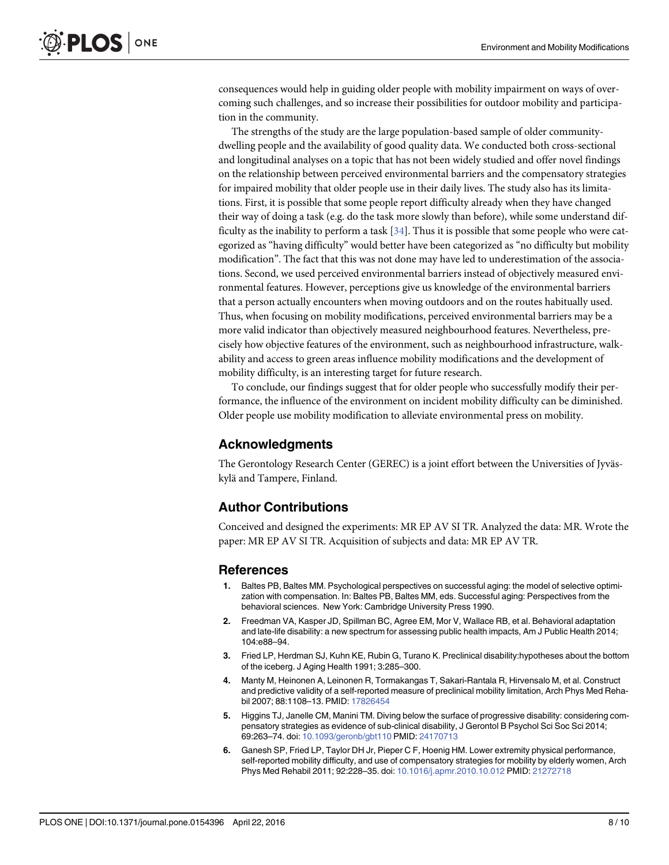<span id="page-8-0"></span>consequences would help in guiding older people with mobility impairment on ways of overcoming such challenges, and so increase their possibilities for outdoor mobility and participation in the community.

The strengths of the study are the large population-based sample of older communitydwelling people and the availability of good quality data. We conducted both cross-sectional and longitudinal analyses on a topic that has not been widely studied and offer novel findings on the relationship between perceived environmental barriers and the compensatory strategies for impaired mobility that older people use in their daily lives. The study also has its limitations. First, it is possible that some people report difficulty already when they have changed their way of doing a task (e.g. do the task more slowly than before), while some understand difficulty as the inability to perform a task [\[34](#page-10-0)]. Thus it is possible that some people who were categorized as "having difficulty" would better have been categorized as "no difficulty but mobility modification". The fact that this was not done may have led to underestimation of the associations. Second, we used perceived environmental barriers instead of objectively measured environmental features. However, perceptions give us knowledge of the environmental barriers that a person actually encounters when moving outdoors and on the routes habitually used. Thus, when focusing on mobility modifications, perceived environmental barriers may be a more valid indicator than objectively measured neighbourhood features. Nevertheless, precisely how objective features of the environment, such as neighbourhood infrastructure, walkability and access to green areas influence mobility modifications and the development of mobility difficulty, is an interesting target for future research.

To conclude, our findings suggest that for older people who successfully modify their performance, the influence of the environment on incident mobility difficulty can be diminished. Older people use mobility modification to alleviate environmental press on mobility.

### Acknowledgments

The Gerontology Research Center (GEREC) is a joint effort between the Universities of Jyväskylä and Tampere, Finland.

#### Author Contributions

Conceived and designed the experiments: MR EP AV SI TR. Analyzed the data: MR. Wrote the paper: MR EP AV SI TR. Acquisition of subjects and data: MR EP AV TR.

#### **References**

- [1.](#page-2-0) Baltes PB, Baltes MM. Psychological perspectives on successful aging: the model of selective optimization with compensation. In: Baltes PB, Baltes MM, eds. Successful aging: Perspectives from the behavioral sciences. New York: Cambridge University Press 1990.
- [2.](#page-2-0) Freedman VA, Kasper JD, Spillman BC, Agree EM, Mor V, Wallace RB, et al. Behavioral adaptation and late-life disability: a new spectrum for assessing public health impacts, Am J Public Health 2014; 104:e88–94.
- [3.](#page-2-0) Fried LP, Herdman SJ, Kuhn KE, Rubin G, Turano K. Preclinical disability:hypotheses about the bottom of the iceberg. J Aging Health 1991; 3:285–300.
- [4.](#page-2-0) Manty M, Heinonen A, Leinonen R, Tormakangas T, Sakari-Rantala R, Hirvensalo M, et al. Construct and predictive validity of a self-reported measure of preclinical mobility limitation, Arch Phys Med Reha-bil 2007; 88:1108-13. PMID: [17826454](http://www.ncbi.nlm.nih.gov/pubmed/17826454)
- [5.](#page-2-0) Higgins TJ, Janelle CM, Manini TM. Diving below the surface of progressive disability: considering compensatory strategies as evidence of sub-clinical disability, J Gerontol B Psychol Sci Soc Sci 2014; 69:263–74. doi: [10.1093/geronb/gbt110](http://dx.doi.org/10.1093/geronb/gbt110) PMID: [24170713](http://www.ncbi.nlm.nih.gov/pubmed/24170713)
- [6.](#page-2-0) Ganesh SP, Fried LP, Taylor DH Jr, Pieper C F, Hoenig HM. Lower extremity physical performance, self-reported mobility difficulty, and use of compensatory strategies for mobility by elderly women, Arch Phys Med Rehabil 2011; 92:228–35. doi: [10.1016/j.apmr.2010.10.012](http://dx.doi.org/10.1016/j.apmr.2010.10.012) PMID: [21272718](http://www.ncbi.nlm.nih.gov/pubmed/21272718)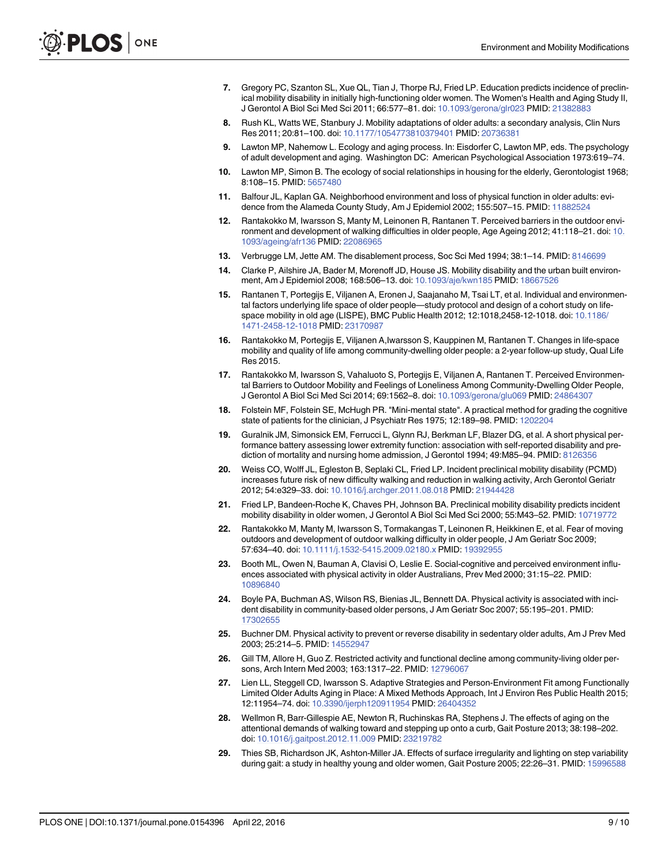- <span id="page-9-0"></span>[7.](#page-2-0) Gregory PC, Szanton SL, Xue QL, Tian J, Thorpe RJ, Fried LP. Education predicts incidence of preclinical mobility disability in initially high-functioning older women. The Women's Health and Aging Study II, J Gerontol A Biol Sci Med Sci 2011; 66:577–81. doi: [10.1093/gerona/glr023](http://dx.doi.org/10.1093/gerona/glr023) PMID: [21382883](http://www.ncbi.nlm.nih.gov/pubmed/21382883)
- [8.](#page-2-0) Rush KL, Watts WE, Stanbury J. Mobility adaptations of older adults: a secondary analysis, Clin Nurs Res 2011; 20:81–100. doi: [10.1177/1054773810379401](http://dx.doi.org/10.1177/1054773810379401) PMID: [20736381](http://www.ncbi.nlm.nih.gov/pubmed/20736381)
- [9.](#page-2-0) Lawton MP, Nahemow L. Ecology and aging process. In: Eisdorfer C, Lawton MP, eds. The psychology of adult development and aging. Washington DC: American Psychological Association 1973:619–74.
- [10.](#page-2-0) Lawton MP, Simon B. The ecology of social relationships in housing for the elderly, Gerontologist 1968; 8:108–15. PMID: [5657480](http://www.ncbi.nlm.nih.gov/pubmed/5657480)
- [11.](#page-2-0) Balfour JL, Kaplan GA. Neighborhood environment and loss of physical function in older adults: evidence from the Alameda County Study, Am J Epidemiol 2002; 155:507–15. PMID: [11882524](http://www.ncbi.nlm.nih.gov/pubmed/11882524)
- [12.](#page-2-0) Rantakokko M, Iwarsson S, Manty M, Leinonen R, Rantanen T. Perceived barriers in the outdoor environment and development of walking difficulties in older people, Age Ageing 2012; 41:118–21. doi: [10.](http://dx.doi.org/10.1093/ageing/afr136) [1093/ageing/afr136](http://dx.doi.org/10.1093/ageing/afr136) PMID: [22086965](http://www.ncbi.nlm.nih.gov/pubmed/22086965)
- [13.](#page-2-0) Verbrugge LM, Jette AM. The disablement process, Soc Sci Med 1994; 38:1–14. PMID: [8146699](http://www.ncbi.nlm.nih.gov/pubmed/8146699)
- [14.](#page-2-0) Clarke P, Ailshire JA, Bader M, Morenoff JD, House JS. Mobility disability and the urban built environment, Am J Epidemiol 2008; 168:506–13. doi: [10.1093/aje/kwn185](http://dx.doi.org/10.1093/aje/kwn185) PMID: [18667526](http://www.ncbi.nlm.nih.gov/pubmed/18667526)
- [15.](#page-3-0) Rantanen T, Portegijs E, Viljanen A, Eronen J, Saajanaho M, Tsai LT, et al. Individual and environmental factors underlying life space of older people—study protocol and design of a cohort study on lifespace mobility in old age (LISPE), BMC Public Health 2012; 12:1018,2458-12-1018. doi: [10.1186/](http://dx.doi.org/10.1186/1471-2458-12-1018) [1471-2458-12-1018](http://dx.doi.org/10.1186/1471-2458-12-1018) PMID: [23170987](http://www.ncbi.nlm.nih.gov/pubmed/23170987)
- [16.](#page-3-0) Rantakokko M, Portegijs E, Viljanen A,Iwarsson S, Kauppinen M, Rantanen T. Changes in life-space mobility and quality of life among community-dwelling older people: a 2-year follow-up study, Qual Life Res 2015.
- [17.](#page-3-0) Rantakokko M, Iwarsson S, Vahaluoto S, Portegijs E, Viljanen A, Rantanen T. Perceived Environmental Barriers to Outdoor Mobility and Feelings of Loneliness Among Community-Dwelling Older People, J Gerontol A Biol Sci Med Sci 2014; 69:1562–8. doi: [10.1093/gerona/glu069](http://dx.doi.org/10.1093/gerona/glu069) PMID: [24864307](http://www.ncbi.nlm.nih.gov/pubmed/24864307)
- [18.](#page-4-0) Folstein MF, Folstein SE, McHugh PR. "Mini-mental state". A practical method for grading the cognitive state of patients for the clinician, J Psychiatr Res 1975; 12:189–98. PMID: [1202204](http://www.ncbi.nlm.nih.gov/pubmed/1202204)
- [19.](#page-4-0) Guralnik JM, Simonsick EM, Ferrucci L, Glynn RJ, Berkman LF, Blazer DG, et al. A short physical performance battery assessing lower extremity function: association with self-reported disability and prediction of mortality and nursing home admission, J Gerontol 1994; 49:M85–94. PMID: [8126356](http://www.ncbi.nlm.nih.gov/pubmed/8126356)
- [20.](#page-7-0) Weiss CO, Wolff JL, Egleston B, Seplaki CL, Fried LP. Incident preclinical mobility disability (PCMD) increases future risk of new difficulty walking and reduction in walking activity, Arch Gerontol Geriatr 2012; 54:e329–33. doi: [10.1016/j.archger.2011.08.018](http://dx.doi.org/10.1016/j.archger.2011.08.018) PMID: [21944428](http://www.ncbi.nlm.nih.gov/pubmed/21944428)
- [21.](#page-7-0) Fried LP, Bandeen-Roche K, Chaves PH, Johnson BA. Preclinical mobility disability predicts incident mobility disability in older women, J Gerontol A Biol Sci Med Sci 2000; 55:M43–52. PMID: [10719772](http://www.ncbi.nlm.nih.gov/pubmed/10719772)
- [22.](#page-7-0) Rantakokko M, Manty M, Iwarsson S, Tormakangas T, Leinonen R, Heikkinen E, et al. Fear of moving outdoors and development of outdoor walking difficulty in older people, J Am Geriatr Soc 2009; 57:634–40. doi: [10.1111/j.1532-5415.2009.02180.x](http://dx.doi.org/10.1111/j.1532-5415.2009.02180.x) PMID: [19392955](http://www.ncbi.nlm.nih.gov/pubmed/19392955)
- [23.](#page-7-0) Booth ML, Owen N, Bauman A, Clavisi O, Leslie E. Social-cognitive and perceived environment influences associated with physical activity in older Australians, Prev Med 2000; 31:15–22. PMID: [10896840](http://www.ncbi.nlm.nih.gov/pubmed/10896840)
- [24.](#page-7-0) Boyle PA, Buchman AS, Wilson RS, Bienias JL, Bennett DA. Physical activity is associated with incident disability in community-based older persons, J Am Geriatr Soc 2007; 55:195–201. PMID: [17302655](http://www.ncbi.nlm.nih.gov/pubmed/17302655)
- 25. Buchner DM. Physical activity to prevent or reverse disability in sedentary older adults, Am J Prev Med 2003; 25:214–5. PMID: [14552947](http://www.ncbi.nlm.nih.gov/pubmed/14552947)
- [26.](#page-7-0) Gill TM, Allore H, Guo Z. Restricted activity and functional decline among community-living older persons, Arch Intern Med 2003; 163:1317–22. PMID: [12796067](http://www.ncbi.nlm.nih.gov/pubmed/12796067)
- [27.](#page-7-0) Lien LL, Steggell CD, Iwarsson S. Adaptive Strategies and Person-Environment Fit among Functionally Limited Older Adults Aging in Place: A Mixed Methods Approach, Int J Environ Res Public Health 2015; 12:11954–74. doi: [10.3390/ijerph120911954](http://dx.doi.org/10.3390/ijerph120911954) PMID: [26404352](http://www.ncbi.nlm.nih.gov/pubmed/26404352)
- [28.](#page-7-0) Wellmon R, Barr-Gillespie AE, Newton R, Ruchinskas RA, Stephens J. The effects of aging on the attentional demands of walking toward and stepping up onto a curb, Gait Posture 2013; 38:198–202. doi: [10.1016/j.gaitpost.2012.11.009](http://dx.doi.org/10.1016/j.gaitpost.2012.11.009) PMID: [23219782](http://www.ncbi.nlm.nih.gov/pubmed/23219782)
- [29.](#page-7-0) Thies SB, Richardson JK, Ashton-Miller JA, Effects of surface irregularity and lighting on step variability during gait: a study in healthy young and older women, Gait Posture 2005; 22:26-31. PMID: [15996588](http://www.ncbi.nlm.nih.gov/pubmed/15996588)